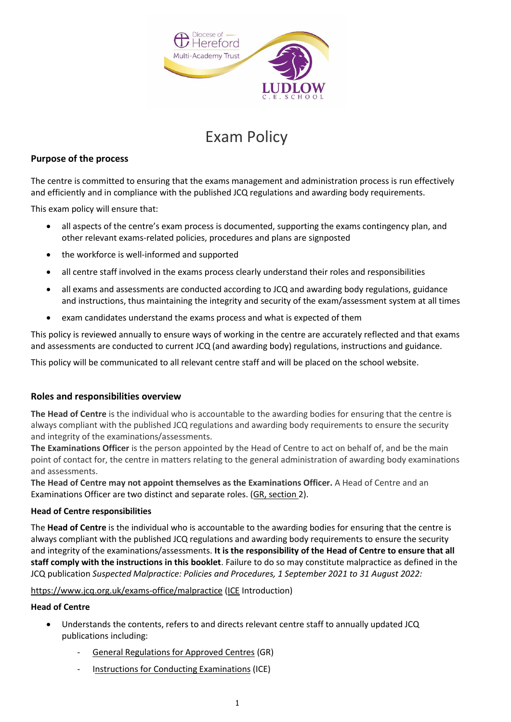

# Exam Policy

# **Purpose of the process**

The centre is committed to ensuring that the exams management and administration process is run effectively and efficiently and in compliance with the published JCQ regulations and awarding body requirements.

This exam policy will ensure that:

- all aspects of the centre's exam process is documented, supporting the exams contingency plan, and other relevant exams-related policies, procedures and plans are signposted
- the workforce is well-informed and supported
- all centre staff involved in the exams process clearly understand their roles and responsibilities
- all exams and assessments are conducted according to JCQ and awarding body regulations, guidance and instructions, thus maintaining the integrity and security of the exam/assessment system at all times
- exam candidates understand the exams process and what is expected of them

This policy is reviewed annually to ensure ways of working in the centre are accurately reflected and that exams and assessments are conducted to current JCQ (and awarding body) regulations, instructions and guidance.

This policy will be communicated to all relevant centre staff and will be placed on the school website.

# **Roles and responsibilities overview**

**The Head of Centre** is the individual who is accountable to the awarding bodies for ensuring that the centre is always compliant with the published JCQ regulations and awarding body requirements to ensure the security and integrity of the examinations/assessments.

**The Examinations Officer** is the person appointed by the Head of Centre to act on behalf of, and be the main point of contact for, the centre in matters relating to the general administration of awarding body examinations and assessments.

**The Head of Centre may not appoint themselves as the Examinations Officer.** A Head of Centre and an Examinations Officer are two distinct and separate roles. [\(GR,](http://www.jcq.org.uk/exams-office/general-regulations) section 2).

## **Head of Centre responsibilities**

The **Head of Centre** is the individual who is accountable to the awarding bodies for ensuring that the centre is always compliant with the published JCQ regulations and awarding body requirements to ensure the security and integrity of the examinations/assessments. **It is the responsibility of the Head of Centre to ensure that all staff comply with the instructions in this booklet**. Failure to do so may constitute malpractice as defined in the JCQ publication *Suspected Malpractice: Policies and Procedures, 1 September 2021 to 31 August 2022:* 

<https://www.jcq.org.uk/exams-office/malpractice> [\(ICE](http://www.jcq.org.uk/exams-office/ice---instructions-for-conducting-examinations) Introduction)

- Understands the contents, refers to and directs relevant centre staff to annually updated JCQ publications including:
	- [General Regulations for Approved Centres](http://www.jcq.org.uk/exams-office/general-regulations) (GR)
	- [Instructions for Conducting Examinations](http://www.jcq.org.uk/exams-office/ice---instructions-for-conducting-examinations) (ICE)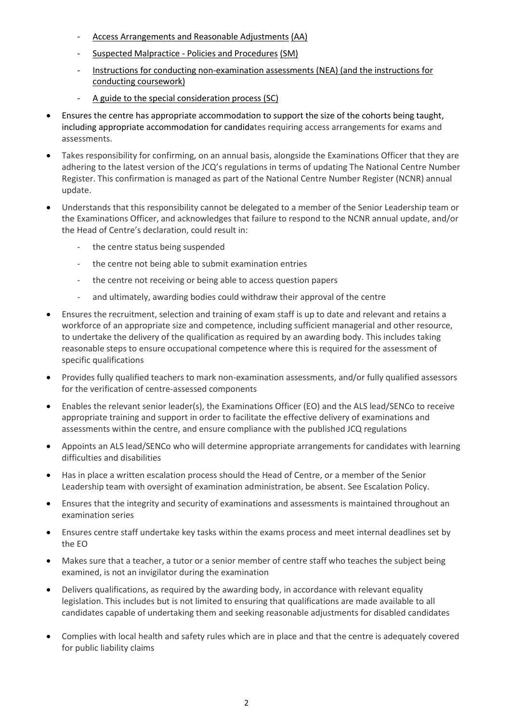- [Access Arrangements and Reasonable Adjustments](http://www.jcq.org.uk/exams-office/access-arrangements-and-special-consideration/regulations-and-guidance) (AA)
- [Suspected Malpractice -](http://www.jcq.org.uk/exams-office/malpractice) Policies and Procedures (SM)
- [Instructions for conducting non-examination assessments](http://www.jcq.org.uk/exams-office/non-examination-assessments) (NEA) (and the instructions for conducting coursework)
- [A guide to the special consideration process](http://www.jcq.org.uk/exams-office/access-arrangements-and-special-consideration/regulations-and-guidance) (SC)
- Ensures the centre has appropriate accommodation to support the size of the cohorts being taught, including appropriate accommodation for candidates requiring access arrangements for exams and assessments.
- Takes responsibility for confirming, on an annual basis, alongside the Examinations Officer that they are adhering to the latest version of the JCQ's regulations in terms of updating The National Centre Number Register. This confirmation is managed as part of the National Centre Number Register (NCNR) annual update.
- Understands that this responsibility cannot be delegated to a member of the Senior Leadership team or the Examinations Officer, and acknowledges that failure to respond to the NCNR annual update, and/or the Head of Centre's declaration, could result in:
	- the centre status being suspended
	- the centre not being able to submit examination entries
	- the centre not receiving or being able to access question papers
	- and ultimately, awarding bodies could withdraw their approval of the centre
- Ensures the recruitment, selection and training of exam staff is up to date and relevant and retains a workforce of an appropriate size and competence, including sufficient managerial and other resource, to undertake the delivery of the qualification as required by an awarding body. This includes taking reasonable steps to ensure occupational competence where this is required for the assessment of specific qualifications
- Provides fully qualified teachers to mark non-examination assessments, and/or fully qualified assessors for the verification of centre-assessed components
- Enables the relevant senior leader(s), the Examinations Officer (EO) and the ALS lead/SENCo to receive appropriate training and support in order to facilitate the effective delivery of examinations and assessments within the centre, and ensure compliance with the published JCQ regulations
- Appoints an ALS lead/SENCo who will determine appropriate arrangements for candidates with learning difficulties and disabilities
- Has in place a written escalation process should the Head of Centre, or a member of the Senior Leadership team with oversight of examination administration, be absent. See Escalation Policy.
- Ensures that the integrity and security of examinations and assessments is maintained throughout an examination series
- Ensures centre staff undertake key tasks within the exams process and meet internal deadlines set by the EO
- Makes sure that a teacher, a tutor or a senior member of centre staff who teaches the subject being examined, is not an invigilator during the examination
- Delivers qualifications, as required by the awarding body, in accordance with relevant equality legislation. This includes but is not limited to ensuring that qualifications are made available to all candidates capable of undertaking them and seeking reasonable adjustments for disabled candidates
- Complies with local health and safety rules which are in place and that the centre is adequately covered for public liability claims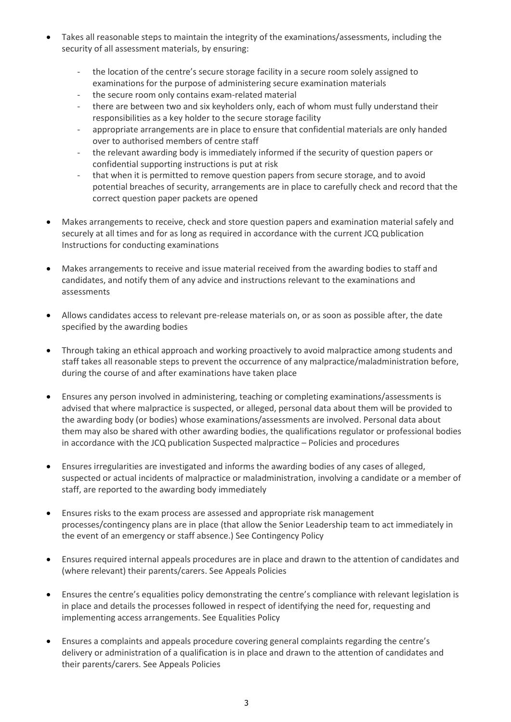- Takes all reasonable steps to maintain the integrity of the examinations/assessments, including the security of all assessment materials, by ensuring:
	- the location of the centre's secure storage facility in a secure room solely assigned to examinations for the purpose of administering secure examination materials
	- the secure room only contains exam-related material
	- there are between two and six keyholders only, each of whom must fully understand their responsibilities as a key holder to the secure storage facility
	- appropriate arrangements are in place to ensure that confidential materials are only handed over to authorised members of centre staff
	- the relevant awarding body is immediately informed if the security of question papers or confidential supporting instructions is put at risk
	- that when it is permitted to remove question papers from secure storage, and to avoid potential breaches of security, arrangements are in place to carefully check and record that the correct question paper packets are opened
- Makes arrangements to receive, check and store question papers and examination material safely and securely at all times and for as long as required in accordance with the current JCQ publication Instructions for conducting examinations
- Makes arrangements to receive and issue material received from the awarding bodies to staff and candidates, and notify them of any advice and instructions relevant to the examinations and assessments
- Allows candidates access to relevant pre-release materials on, or as soon as possible after, the date specified by the awarding bodies
- Through taking an ethical approach and working proactively to avoid malpractice among students and staff takes all reasonable steps to prevent the occurrence of any malpractice/maladministration before, during the course of and after examinations have taken place
- Ensures any person involved in administering, teaching or completing examinations/assessments is advised that where malpractice is suspected, or alleged, personal data about them will be provided to the awarding body (or bodies) whose examinations/assessments are involved. Personal data about them may also be shared with other awarding bodies, the qualifications regulator or professional bodies in accordance with the JCQ publication Suspected malpractice – Policies and procedures
- Ensures irregularities are investigated and informs the awarding bodies of any cases of alleged, suspected or actual incidents of malpractice or maladministration, involving a candidate or a member of staff, are reported to the awarding body immediately
- Ensures risks to the exam process are assessed and appropriate risk management processes/contingency plans are in place (that allow the Senior Leadership team to act immediately in the event of an emergency or staff absence.) See Contingency Policy
- Ensures required internal appeals procedures are in place and drawn to the attention of candidates and (where relevant) their parents/carers. See Appeals Policies
- Ensures the centre's equalities policy demonstrating the centre's compliance with relevant legislation is in place and details the processes followed in respect of identifying the need for, requesting and implementing access arrangements. See Equalities Policy
- Ensures a complaints and appeals procedure covering general complaints regarding the centre's delivery or administration of a qualification is in place and drawn to the attention of candidates and their parents/carers. See Appeals Policies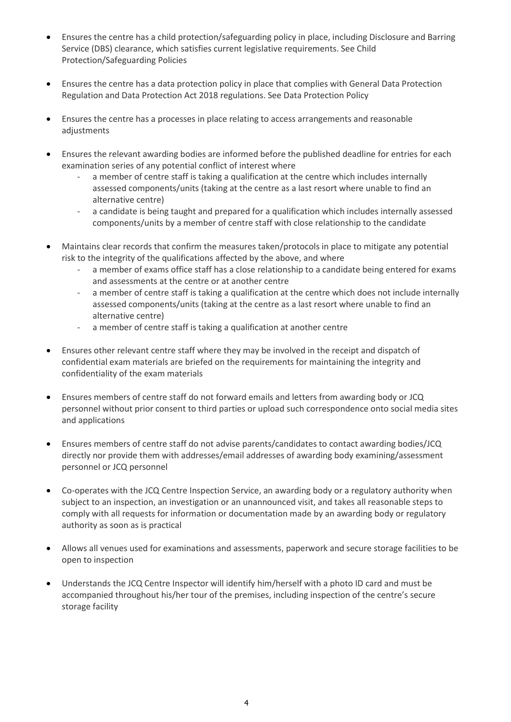- Ensures the centre has a child protection/safeguarding policy in place, including Disclosure and Barring Service (DBS) clearance, which satisfies current legislative requirements. See Child Protection/Safeguarding Policies
- Ensures the centre has a data protection policy in place that complies with General Data Protection Regulation and Data Protection Act 2018 regulations. See Data Protection Policy
- Ensures the centre has a processes in place relating to access arrangements and reasonable adjustments
- Ensures the relevant awarding bodies are informed before the published deadline for entries for each examination series of any potential conflict of interest where
	- a member of centre staff is taking a qualification at the centre which includes internally assessed components/units (taking at the centre as a last resort where unable to find an alternative centre)
	- a candidate is being taught and prepared for a qualification which includes internally assessed components/units by a member of centre staff with close relationship to the candidate
- Maintains clear records that confirm the measures taken/protocols in place to mitigate any potential risk to the integrity of the qualifications affected by the above, and where
	- a member of exams office staff has a close relationship to a candidate being entered for exams and assessments at the centre or at another centre
	- a member of centre staff is taking a qualification at the centre which does not include internally assessed components/units (taking at the centre as a last resort where unable to find an alternative centre)
	- a member of centre staff is taking a qualification at another centre
- Ensures other relevant centre staff where they may be involved in the receipt and dispatch of confidential exam materials are briefed on the requirements for maintaining the integrity and confidentiality of the exam materials
- Ensures members of centre staff do not forward emails and letters from awarding body or JCQ personnel without prior consent to third parties or upload such correspondence onto social media sites and applications
- Ensures members of centre staff do not advise parents/candidates to contact awarding bodies/JCQ directly nor provide them with addresses/email addresses of awarding body examining/assessment personnel or JCQ personnel
- Co-operates with the JCQ Centre Inspection Service, an awarding body or a regulatory authority when subject to an inspection, an investigation or an unannounced visit, and takes all reasonable steps to comply with all requests for information or documentation made by an awarding body or regulatory authority as soon as is practical
- Allows all venues used for examinations and assessments, paperwork and secure storage facilities to be open to inspection
- Understands the JCQ Centre Inspector will identify him/herself with a photo ID card and must be accompanied throughout his/her tour of the premises, including inspection of the centre's secure storage facility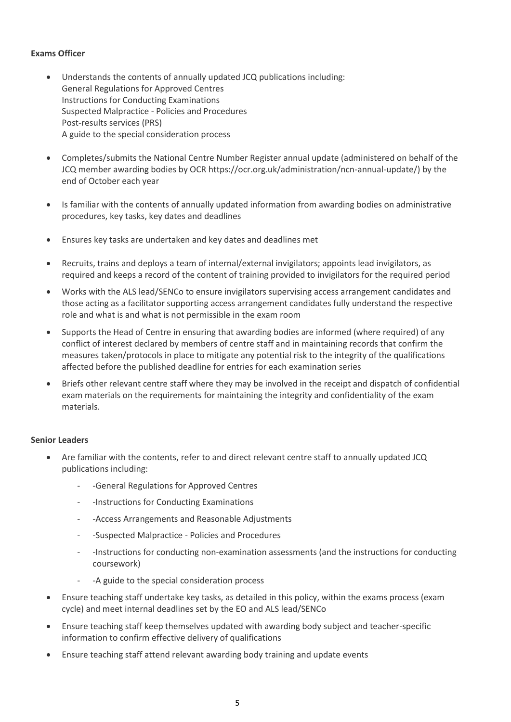- Understands the contents of annually updated JCQ publications including: General Regulations for Approved Centres Instructions for Conducting Examinations Suspected Malpractice - Policies and Procedures Post-results services (PRS) A guide to the special consideration process
- Completes/submits the National Centre Number Register annual update (administered on behalf of the JCQ member awarding bodies by OCR https://ocr.org.uk/administration/ncn-annual-update/) by the end of October each year
- Is familiar with the contents of annually updated information from awarding bodies on administrative procedures, key tasks, key dates and deadlines
- Ensures key tasks are undertaken and key dates and deadlines met
- Recruits, trains and deploys a team of internal/external invigilators; appoints lead invigilators, as required and keeps a record of the content of training provided to invigilators for the required period
- Works with the ALS lead/SENCo to ensure invigilators supervising access arrangement candidates and those acting as a facilitator supporting access arrangement candidates fully understand the respective role and what is and what is not permissible in the exam room
- Supports the Head of Centre in ensuring that awarding bodies are informed (where required) of any conflict of interest declared by members of centre staff and in maintaining records that confirm the measures taken/protocols in place to mitigate any potential risk to the integrity of the qualifications affected before the published deadline for entries for each examination series
- Briefs other relevant centre staff where they may be involved in the receipt and dispatch of confidential exam materials on the requirements for maintaining the integrity and confidentiality of the exam materials.

## **Senior Leaders**

- Are familiar with the contents, refer to and direct relevant centre staff to annually updated JCQ publications including:
	- -General Regulations for Approved Centres
	- -Instructions for Conducting Examinations
	- -Access Arrangements and Reasonable Adjustments
	- -Suspected Malpractice Policies and Procedures
	- -Instructions for conducting non-examination assessments (and the instructions for conducting coursework)
	- -A guide to the special consideration process
- Ensure teaching staff undertake key tasks, as detailed in this policy, within the exams process (exam cycle) and meet internal deadlines set by the EO and ALS lead/SENCo
- Ensure teaching staff keep themselves updated with awarding body subject and teacher-specific information to confirm effective delivery of qualifications
- Ensure teaching staff attend relevant awarding body training and update events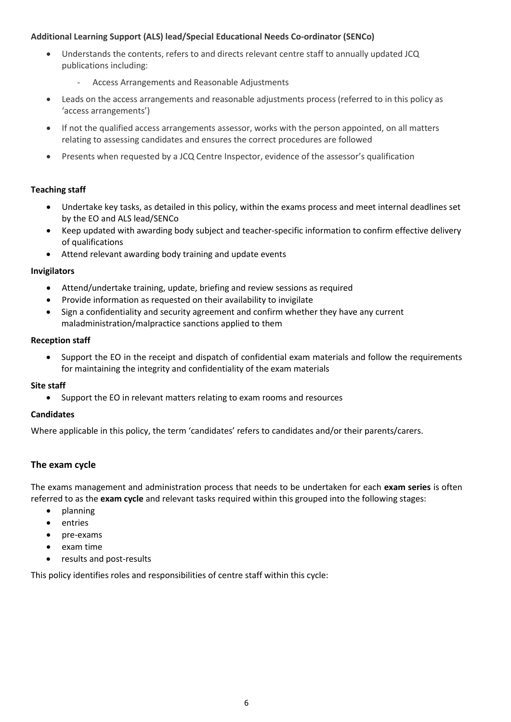# **Additional Learning Support (ALS) lead/Special Educational Needs Co-ordinator (SENCo)**

- Understands the contents, refers to and directs relevant centre staff to annually updated JCQ publications including:
	- Access Arrangements and Reasonable Adjustments
- Leads on the access arrangements and reasonable adjustments process (referred to in this policy as 'access arrangements')
- If not the qualified access arrangements assessor, works with the person appointed, on all matters relating to assessing candidates and ensures the correct procedures are followed
- Presents when requested by a JCQ Centre Inspector, evidence of the assessor's qualification

# **Teaching staff**

- Undertake key tasks, as detailed in this policy, within the exams process and meet internal deadlines set by the EO and ALS lead/SENCo
- Keep updated with awarding body subject and teacher-specific information to confirm effective delivery of qualifications
- Attend relevant awarding body training and update events

## **Invigilators**

- Attend/undertake training, update, briefing and review sessions as required
- Provide information as requested on their availability to invigilate
- Sign a confidentiality and security agreement and confirm whether they have any current maladministration/malpractice sanctions applied to them

#### **Reception staff**

 Support the EO in the receipt and dispatch of confidential exam materials and follow the requirements for maintaining the integrity and confidentiality of the exam materials

## **Site staff**

Support the EO in relevant matters relating to exam rooms and resources

## **Candidates**

Where applicable in this policy, the term 'candidates' refers to candidates and/or their parents/carers.

# **The exam cycle**

The exams management and administration process that needs to be undertaken for each **exam series** is often referred to as the **exam cycle** and relevant tasks required within this grouped into the following stages:

- planning
- entries
- $\bullet$  pre-exams
- exam time
- results and post-results

This policy identifies roles and responsibilities of centre staff within this cycle: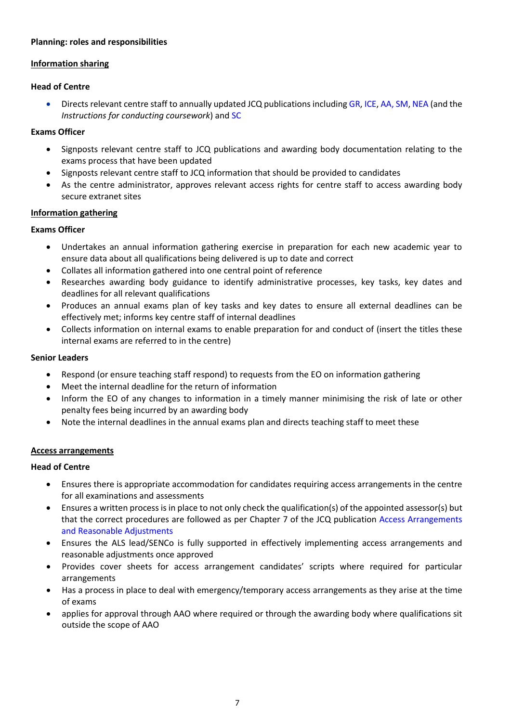## **Planning: roles and responsibilities**

## **Information sharing**

## **Head of Centre**

• Directs relevant centre staff to annually updated JCQ publications including [GR,](http://www.jcq.org.uk/exams-office/general-regulations) [ICE,](http://www.jcq.org.uk/exams-office/ice---instructions-for-conducting-examinations) [AA,](http://www.jcq.org.uk/exams-office/access-arrangements-and-special-consideration) [SM,](http://www.jcq.org.uk/exams-office/malpractice) [NEA](http://www.jcq.org.uk/exams-office/non-examination-assessments) (and the *Instructions for conducting coursework*) and [SC](http://www.jcq.org.uk/exams-office/access-arrangements-and-special-consideration/regulations-and-guidance)

# **Exams Officer**

- Signposts relevant centre staff to JCQ publications and awarding body documentation relating to the exams process that have been updated
- Signposts relevant centre staff to JCQ information that should be provided to candidates
- As the centre administrator, approves relevant access rights for centre staff to access awarding body secure extranet sites

## **Information gathering**

## **Exams Officer**

- Undertakes an annual information gathering exercise in preparation for each new academic year to ensure data about all qualifications being delivered is up to date and correct
- Collates all information gathered into one central point of reference
- Researches awarding body guidance to identify administrative processes, key tasks, key dates and deadlines for all relevant qualifications
- Produces an annual exams plan of key tasks and key dates to ensure all external deadlines can be effectively met; informs key centre staff of internal deadlines
- Collects information on internal exams to enable preparation for and conduct of (insert the titles these internal exams are referred to in the centre)

# **Senior Leaders**

- Respond (or ensure teaching staff respond) to requests from the EO on information gathering
- Meet the internal deadline for the return of information
- Inform the EO of any changes to information in a timely manner minimising the risk of late or other penalty fees being incurred by an awarding body
- Note the internal deadlines in the annual exams plan and directs teaching staff to meet these

## **Access arrangements**

- Ensures there is appropriate accommodation for candidates requiring access arrangements in the centre for all examinations and assessments
- Ensures a written process is in place to not only check the qualification(s) of the appointed assessor(s) but that the correct procedures are followed as per Chapter 7 of the JCQ publication [Access Arrangements](http://www.jcq.org.uk/exams-office/access-arrangements-and-special-consideration/regulations-and-guidance)  [and Reasonable Adjustments](http://www.jcq.org.uk/exams-office/access-arrangements-and-special-consideration/regulations-and-guidance)
- Ensures the ALS lead/SENCo is fully supported in effectively implementing access arrangements and reasonable adjustments once approved
- Provides cover sheets for access arrangement candidates' scripts where required for particular arrangements
- Has a process in place to deal with emergency/temporary access arrangements as they arise at the time of exams
- applies for approval through AAO where required or through the awarding body where qualifications sit outside the scope of AAO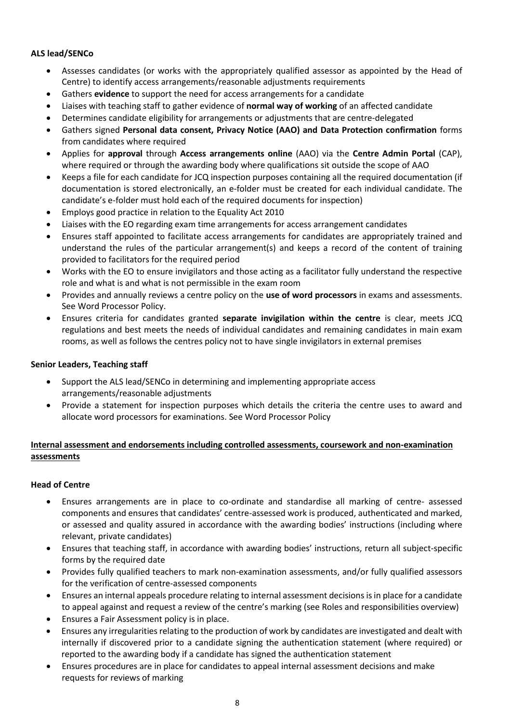# **ALS lead/SENCo**

- Assesses candidates (or works with the appropriately qualified assessor as appointed by the Head of Centre) to identify access arrangements/reasonable adjustments requirements
- Gathers **evidence** to support the need for access arrangements for a candidate
- Liaises with teaching staff to gather evidence of **normal way of working** of an affected candidate
- Determines candidate eligibility for arrangements or adjustments that are centre-delegated
- Gathers signed **Personal data consent, Privacy Notice (AAO) and Data Protection confirmation** forms from candidates where required
- Applies for **approval** through **Access arrangements online** (AAO) via the **Centre Admin Portal** (CAP), where required or through the awarding body where qualifications sit outside the scope of AAO
- Keeps a file for each candidate for JCQ inspection purposes containing all the required documentation (if documentation is stored electronically, an e-folder must be created for each individual candidate. The candidate's e-folder must hold each of the required documents for inspection)
- Employs good practice in relation to the Equality Act 2010
- Liaises with the EO regarding exam time arrangements for access arrangement candidates
- Ensures staff appointed to facilitate access arrangements for candidates are appropriately trained and understand the rules of the particular arrangement(s) and keeps a record of the content of training provided to facilitators for the required period
- Works with the EO to ensure invigilators and those acting as a facilitator fully understand the respective role and what is and what is not permissible in the exam room
- Provides and annually reviews a centre policy on the **use of word processors** in exams and assessments. See Word Processor Policy.
- Ensures criteria for candidates granted **separate invigilation within the centre** is clear, meets JCQ regulations and best meets the needs of individual candidates and remaining candidates in main exam rooms, as well as follows the centres policy not to have single invigilators in external premises

## **Senior Leaders, Teaching staff**

- Support the ALS lead/SENCo in determining and implementing appropriate access arrangements/reasonable adjustments
- Provide a statement for inspection purposes which details the criteria the centre uses to award and allocate word processors for examinations. See Word Processor Policy

# **Internal assessment and endorsements including controlled assessments, coursework and non-examination assessments**

- Ensures arrangements are in place to co-ordinate and standardise all marking of centre- assessed components and ensures that candidates' centre-assessed work is produced, authenticated and marked, or assessed and quality assured in accordance with the awarding bodies' instructions (including where relevant, private candidates)
- Ensures that teaching staff, in accordance with awarding bodies' instructions, return all subject-specific forms by the required date
- Provides fully qualified teachers to mark non-examination assessments, and/or fully qualified assessors for the verification of centre-assessed components
- Ensures an internal appeals procedure relating to internal assessment decisions is in place for a candidate to appeal against and request a review of the centre's marking (see Roles and responsibilities overview)
- Ensures a Fair Assessment policy is in place.
- Ensures any irregularities relating to the production of work by candidates are investigated and dealt with internally if discovered prior to a candidate signing the authentication statement (where required) or reported to the awarding body if a candidate has signed the authentication statement
- Ensures procedures are in place for candidates to appeal internal assessment decisions and make requests for reviews of marking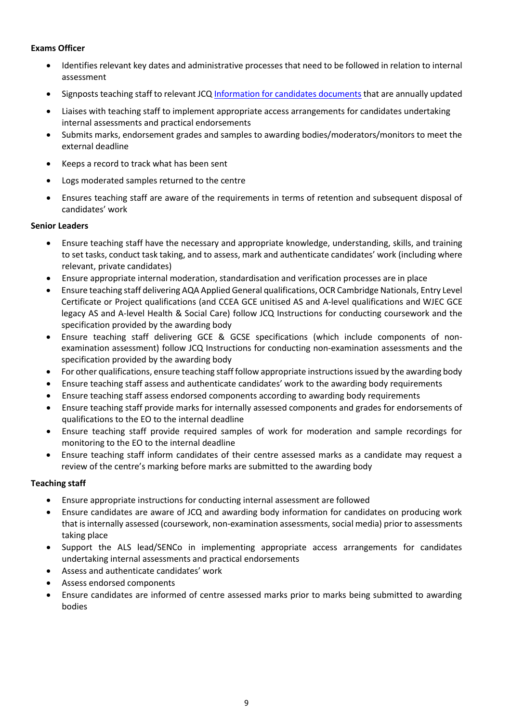- Identifies relevant key dates and administrative processes that need to be followed in relation to internal assessment
- Signposts teaching staff to relevant JC[Q Information for candidates documents](https://www.jcq.org.uk/exams-office/information-for-candidates-documents/) that are annually updated
- Liaises with teaching staff to implement appropriate access arrangements for candidates undertaking internal assessments and practical endorsements
- Submits marks, endorsement grades and samples to awarding bodies/moderators/monitors to meet the external deadline
- Keeps a record to track what has been sent
- Logs moderated samples returned to the centre
- Ensures teaching staff are aware of the requirements in terms of retention and subsequent disposal of candidates' work

## **Senior Leaders**

- Ensure teaching staff have the necessary and appropriate knowledge, understanding, skills, and training to set tasks, conduct task taking, and to assess, mark and authenticate candidates' work (including where relevant, private candidates)
- Ensure appropriate internal moderation, standardisation and verification processes are in place
- Ensure teaching staff delivering AQA Applied General qualifications, OCR Cambridge Nationals, Entry Level Certificate or Project qualifications (and CCEA GCE unitised AS and A-level qualifications and WJEC GCE legacy AS and A-level Health & Social Care) follow JCQ [Instructions for conducting coursework](http://www.jcq.org.uk/exams-office/coursework) and the specification provided by the awarding body
- Ensure teaching staff delivering GCE & GCSE specifications (which include components of nonexamination assessment) follow JCQ [Instructions for conducting non-examination assessments](http://www.jcq.org.uk/exams-office/non-examination-assessments) and the specification provided by the awarding body
- For other qualifications, ensure teaching staff follow appropriate instructions issued by the awarding body
- Ensure teaching staff assess and authenticate candidates' work to the awarding body requirements
- Ensure teaching staff assess endorsed components according to awarding body requirements
- Ensure teaching staff provide marks for internally assessed components and grades for endorsements of qualifications to the EO to the internal deadline
- Ensure teaching staff provide required samples of work for moderation and sample recordings for monitoring to the EO to the internal deadline
- Ensure teaching staff inform candidates of their centre assessed marks as a candidate may request a review of the centre's marking before marks are submitted to the awarding body

## **Teaching staff**

- Ensure appropriate instructions for conducting internal assessment are followed
- Ensure candidates are aware of JCQ and awarding body information for candidates on producing work that is internally assessed (coursework, non-examination assessments, social media) prior to assessments taking place
- Support the ALS lead/SENCo in implementing appropriate access arrangements for candidates undertaking internal assessments and practical endorsements
- Assess and authenticate candidates' work
- Assess endorsed components
- Ensure candidates are informed of centre assessed marks prior to marks being submitted to awarding bodies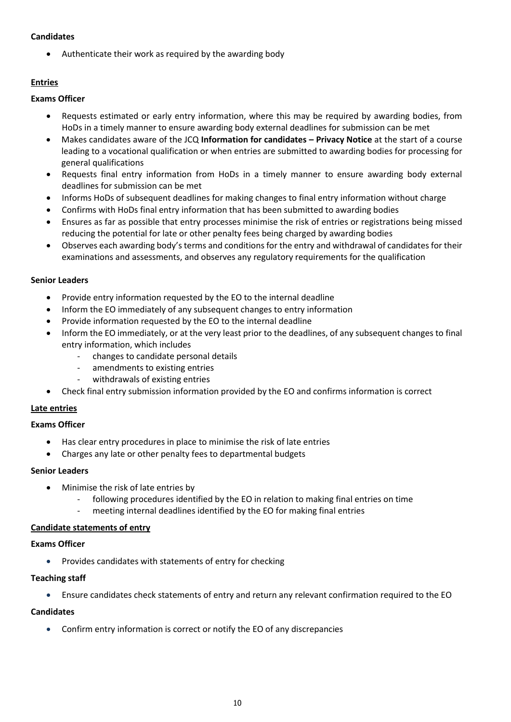## **Candidates**

Authenticate their work as required by the awarding body

# **Entries**

## **Exams Officer**

- Requests estimated or early entry information, where this may be required by awarding bodies, from HoDs in a timely manner to ensure awarding body external deadlines for submission can be met
- Makes candidates aware of the JCQ **Information for candidates – Privacy Notice** at the start of a course leading to a vocational qualification or when entries are submitted to awarding bodies for processing for general qualifications
- Requests final entry information from HoDs in a timely manner to ensure awarding body external deadlines for submission can be met
- Informs HoDs of subsequent deadlines for making changes to final entry information without charge
- Confirms with HoDs final entry information that has been submitted to awarding bodies
- Ensures as far as possible that entry processes minimise the risk of entries or registrations being missed reducing the potential for late or other penalty fees being charged by awarding bodies
- Observes each awarding body's terms and conditions for the entry and withdrawal of candidates for their examinations and assessments, and observes any regulatory requirements for the qualification

## **Senior Leaders**

- Provide entry information requested by the EO to the internal deadline
- Inform the EO immediately of any subsequent changes to entry information
- Provide information requested by the EO to the internal deadline
- Inform the EO immediately, or at the very least prior to the deadlines, of any subsequent changes to final entry information, which includes
	- changes to candidate personal details
	- amendments to existing entries
	- withdrawals of existing entries
- Check final entry submission information provided by the EO and confirms information is correct

# **Late entries**

## **Exams Officer**

- Has clear entry procedures in place to minimise the risk of late entries
- Charges any late or other penalty fees to departmental budgets

## **Senior Leaders**

- Minimise the risk of late entries by
	- following procedures identified by the EO in relation to making final entries on time
	- meeting internal deadlines identified by the EO for making final entries

## **Candidate statements of entry**

## **Exams Officer**

Provides candidates with statements of entry for checking

## **Teaching staff**

Ensure candidates check statements of entry and return any relevant confirmation required to the EO

## **Candidates**

Confirm entry information is correct or notify the EO of any discrepancies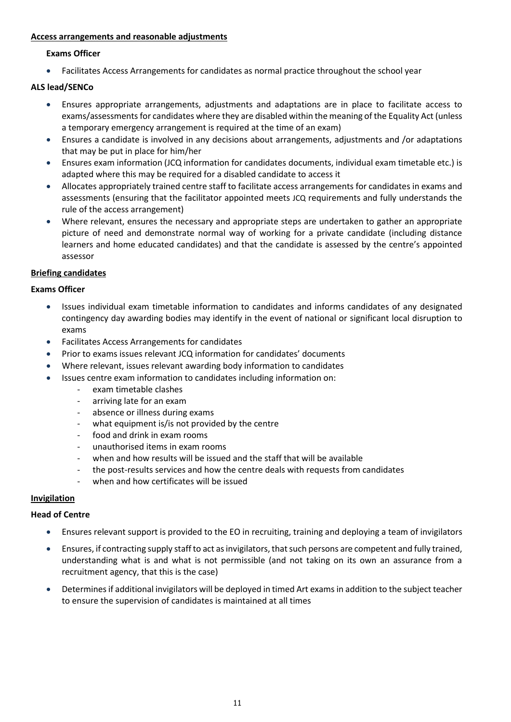## **Access arrangements and reasonable adjustments**

## **Exams Officer**

Facilitates Access Arrangements for candidates as normal practice throughout the school year

# **ALS lead/SENCo**

- Ensures appropriate arrangements, adjustments and adaptations are in place to facilitate access to exams/assessments for candidates where they are disabled within the meaning of the Equality Act (unless a temporary emergency arrangement is required at the time of an exam)
- Ensures a candidate is involved in any decisions about arrangements, adjustments and /or adaptations that may be put in place for him/her
- Ensures exam information (JCQ information for candidates documents, individual exam timetable etc.) is adapted where this may be required for a disabled candidate to access it
- Allocates appropriately trained centre staff to facilitate access arrangements for candidates in exams and assessments (ensuring that the facilitator appointed meets JCQ requirements and fully understands the rule of the access arrangement)
- Where relevant, ensures the necessary and appropriate steps are undertaken to gather an appropriate picture of need and demonstrate normal way of working for a private candidate (including distance learners and home educated candidates) and that the candidate is assessed by the centre's appointed assessor

# **Briefing candidates**

# **Exams Officer**

- Issues individual exam timetable information to candidates and informs candidates of any designated contingency day awarding bodies may identify in the event of national or significant local disruption to exams
- Facilitates Access Arrangements for candidates
- Prior to exams issues relevant JCQ information for candidates' documents
- Where relevant, issues relevant awarding body information to candidates
- Issues centre exam information to candidates including information on:
	- exam timetable clashes
	- arriving late for an exam
	- absence or illness during exams
	- what equipment is/is not provided by the centre
	- food and drink in exam rooms
	- unauthorised items in exam rooms
	- when and how results will be issued and the staff that will be available
	- the post-results services and how the centre deals with requests from candidates
	- when and how certificates will be issued

# **Invigilation**

- Ensures relevant support is provided to the EO in recruiting, training and deploying a team of invigilators
- Ensures, if contracting supply staff to act as invigilators, that such persons are competent and fully trained, understanding what is and what is not permissible (and not taking on its own an assurance from a recruitment agency, that this is the case)
- Determines if additional invigilators will be deployed in timed Art exams in addition to the subject teacher to ensure the supervision of candidates is maintained at all times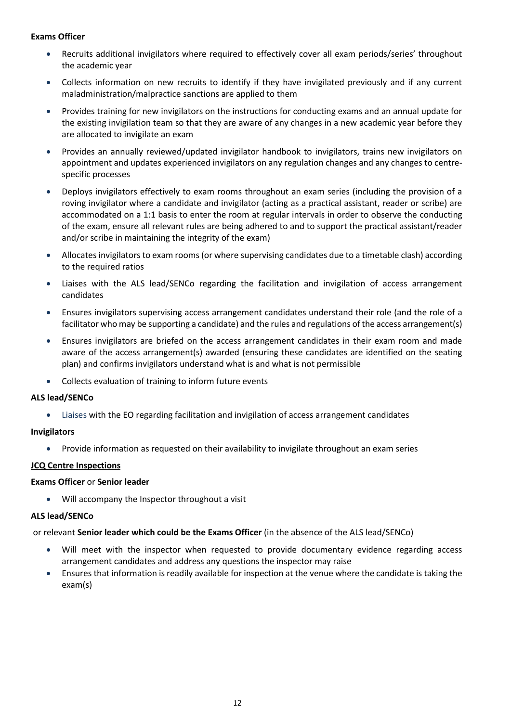- Recruits additional invigilators where required to effectively cover all exam periods/series' throughout the academic year
- Collects information on new recruits to identify if they have invigilated previously and if any current maladministration/malpractice sanctions are applied to them
- Provides training for new invigilators on the instructions for conducting exams and an annual update for the existing invigilation team so that they are aware of any changes in a new academic year before they are allocated to invigilate an exam
- Provides an annually reviewed/updated invigilator handbook to invigilators, trains new invigilators on appointment and updates experienced invigilators on any regulation changes and any changes to centrespecific processes
- Deploys invigilators effectively to exam rooms throughout an exam series (including the provision of a roving invigilator where a candidate and invigilator (acting as a practical assistant, reader or scribe) are accommodated on a 1:1 basis to enter the room at regular intervals in order to observe the conducting of the exam, ensure all relevant rules are being adhered to and to support the practical assistant/reader and/or scribe in maintaining the integrity of the exam)
- Allocates invigilators to exam rooms (or where supervising candidates due to a timetable clash) according to the required ratios
- Liaises with the ALS lead/SENCo regarding the facilitation and invigilation of access arrangement candidates
- Ensures invigilators supervising access arrangement candidates understand their role (and the role of a facilitator who may be supporting a candidate) and the rules and regulations of the access arrangement(s)
- Ensures invigilators are briefed on the access arrangement candidates in their exam room and made aware of the access arrangement(s) awarded (ensuring these candidates are identified on the seating plan) and confirms invigilators understand what is and what is not permissible
- Collects evaluation of training to inform future events

# **ALS lead/SENCo**

Liaises with the EO regarding facilitation and invigilation of access arrangement candidates

## **Invigilators**

Provide information as requested on their availability to invigilate throughout an exam series

## **JCQ Centre Inspections**

## **Exams Officer** or **Senior leader**

Will accompany the Inspector throughout a visit

## **ALS lead/SENCo**

or relevant **Senior leader which could be the Exams Officer** (in the absence of the ALS lead/SENCo)

- Will meet with the inspector when requested to provide documentary evidence regarding access arrangement candidates and address any questions the inspector may raise
- Ensures that information is readily available for inspection at the venue where the candidate is taking the exam(s)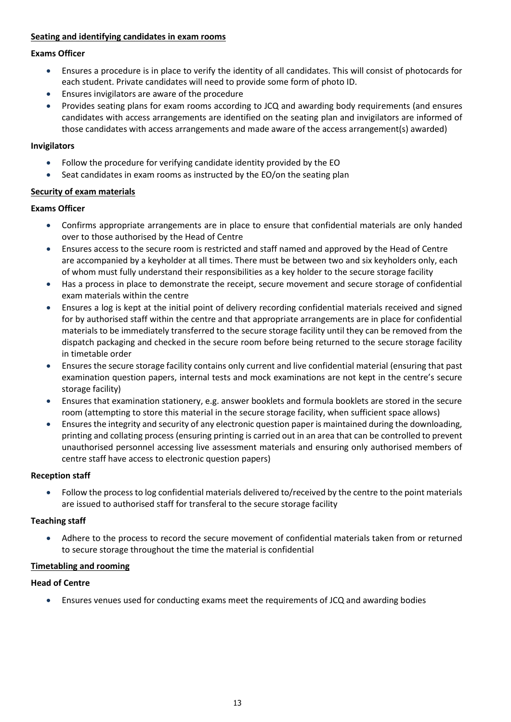## **Seating and identifying candidates in exam rooms**

## **Exams Officer**

- Ensures a procedure is in place to verify the identity of all candidates. This will consist of photocards for each student. Private candidates will need to provide some form of photo ID.
- Ensures invigilators are aware of the procedure
- Provides seating plans for exam rooms according to JCQ and awarding body requirements (and ensures candidates with access arrangements are identified on the seating plan and invigilators are informed of those candidates with access arrangements and made aware of the access arrangement(s) awarded)

## **Invigilators**

- Follow the procedure for verifying candidate identity provided by the EO
- Seat candidates in exam rooms as instructed by the EO/on the seating plan

# **Security of exam materials**

# **Exams Officer**

- Confirms appropriate arrangements are in place to ensure that confidential materials are only handed over to those authorised by the Head of Centre
- Ensures access to the secure room is restricted and staff named and approved by the Head of Centre are accompanied by a keyholder at all times. There must be between two and six keyholders only, each of whom must fully understand their responsibilities as a key holder to the secure storage facility
- Has a process in place to demonstrate the receipt, secure movement and secure storage of confidential exam materials within the centre
- Ensures a log is kept at the initial point of delivery recording confidential materials received and signed for by authorised staff within the centre and that appropriate arrangements are in place for confidential materials to be immediately transferred to the secure storage facility until they can be removed from the dispatch packaging and checked in the secure room before being returned to the secure storage facility in timetable order
- Ensures the secure storage facility contains only current and live confidential material (ensuring that past examination question papers, internal tests and mock examinations are not kept in the centre's secure storage facility)
- Ensures that examination stationery, e.g. answer booklets and formula booklets are stored in the secure room (attempting to store this material in the secure storage facility, when sufficient space allows)
- Ensures the integrity and security of any electronic question paper is maintained during the downloading, printing and collating process (ensuring printing is carried out in an area that can be controlled to prevent unauthorised personnel accessing live assessment materials and ensuring only authorised members of centre staff have access to electronic question papers)

# **Reception staff**

 Follow the process to log confidential materials delivered to/received by the centre to the point materials are issued to authorised staff for transferal to the secure storage facility

# **Teaching staff**

 Adhere to the process to record the secure movement of confidential materials taken from or returned to secure storage throughout the time the material is confidential

# **Timetabling and rooming**

# **Head of Centre**

Ensures venues used for conducting exams meet the requirements of JCQ and awarding bodies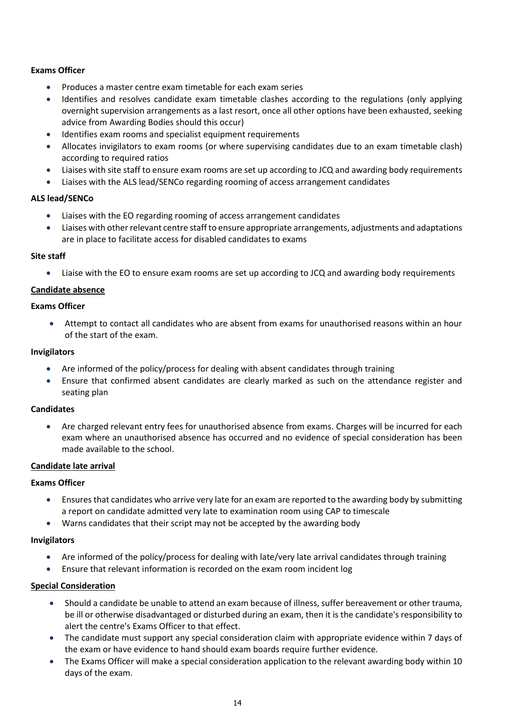- Produces a master centre exam timetable for each exam series
- Identifies and resolves candidate exam timetable clashes according to the regulations (only applying overnight supervision arrangements as a last resort, once all other options have been exhausted, seeking advice from Awarding Bodies should this occur)
- Identifies exam rooms and specialist equipment requirements
- Allocates invigilators to exam rooms (or where supervising candidates due to an exam timetable clash) according to required ratios
- Liaises with site staff to ensure exam rooms are set up according to JCQ and awarding body requirements
- Liaises with the ALS lead/SENCo regarding rooming of access arrangement candidates

## **ALS lead/SENCo**

- Liaises with the EO regarding rooming of access arrangement candidates
- Liaises with other relevant centre staff to ensure appropriate arrangements, adjustments and adaptations are in place to facilitate access for disabled candidates to exams

## **Site staff**

Liaise with the EO to ensure exam rooms are set up according to JCQ and awarding body requirements

## **Candidate absence**

## **Exams Officer**

 Attempt to contact all candidates who are absent from exams for unauthorised reasons within an hour of the start of the exam.

## **Invigilators**

- Are informed of the policy/process for dealing with absent candidates through training
- Ensure that confirmed absent candidates are clearly marked as such on the attendance register and seating plan

## **Candidates**

 Are charged relevant entry fees for unauthorised absence from exams. Charges will be incurred for each exam where an unauthorised absence has occurred and no evidence of special consideration has been made available to the school.

## **Candidate late arrival**

## **Exams Officer**

- Ensures that candidates who arrive very late for an exam are reported to the awarding body by submitting a report on candidate admitted very late to examination room using CAP to timescale
- Warns candidates that their script may not be accepted by the awarding body

## **Invigilators**

- Are informed of the policy/process for dealing with late/very late arrival candidates through training
- Ensure that relevant information is recorded on the exam room incident log

## **Special Consideration**

- Should a candidate be unable to attend an exam because of illness, suffer bereavement or other trauma, be ill or otherwise disadvantaged or disturbed during an exam, then it is the candidate's responsibility to alert the centre's Exams Officer to that effect.
- The candidate must support any special consideration claim with appropriate evidence within 7 days of the exam or have evidence to hand should exam boards require further evidence.
- The Exams Officer will make a special consideration application to the relevant awarding body within 10 days of the exam.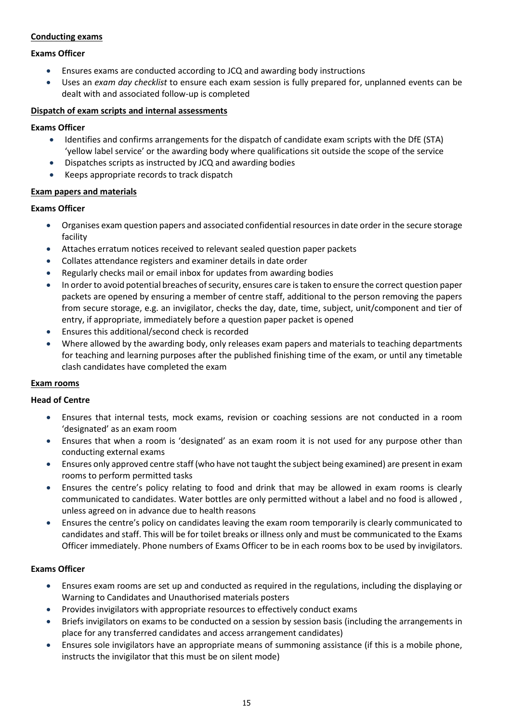# **Conducting exams**

## **Exams Officer**

- Ensures exams are conducted according to JCQ and awarding body instructions
- Uses an *exam day checklist* to ensure each exam session is fully prepared for, unplanned events can be dealt with and associated follow-up is completed

## **Dispatch of exam scripts and internal assessments**

## **Exams Officer**

- Identifies and confirms arrangements for the dispatch of candidate exam scripts with the DfE (STA) 'yellow label service' or the awarding body where qualifications sit outside the scope of the service
- Dispatches scripts as instructed by JCQ and awarding bodies
- Keeps appropriate records to track dispatch

## **Exam papers and materials**

## **Exams Officer**

- Organises exam question papers and associated confidential resources in date order in the secure storage facility
- Attaches erratum notices received to relevant sealed question paper packets
- Collates attendance registers and examiner details in date order
- Regularly checks mail or email inbox for updates from awarding bodies
- In order to avoid potential breaches of security, ensures care is taken to ensure the correct question paper packets are opened by ensuring a member of centre staff, additional to the person removing the papers from secure storage, e.g. an invigilator, checks the day, date, time, subject, unit/component and tier of entry, if appropriate, immediately before a question paper packet is opened
- Ensures this additional/second check is recorded
- Where allowed by the awarding body, only releases exam papers and materials to teaching departments for teaching and learning purposes after the published finishing time of the exam, or until any timetable clash candidates have completed the exam

## **Exam rooms**

## **Head of Centre**

- Ensures that internal tests, mock exams, revision or coaching sessions are not conducted in a room 'designated' as an exam room
- Ensures that when a room is 'designated' as an exam room it is not used for any purpose other than conducting external exams
- Ensures only approved centre staff (who have not taught the subject being examined) are present in exam rooms to perform permitted tasks
- Ensures the centre's policy relating to food and drink that may be allowed in exam rooms is clearly communicated to candidates. Water bottles are only permitted without a label and no food is allowed , unless agreed on in advance due to health reasons
- Ensures the centre's policy on candidates leaving the exam room temporarily is clearly communicated to candidates and staff. This will be for toilet breaks or illness only and must be communicated to the Exams Officer immediately. Phone numbers of Exams Officer to be in each rooms box to be used by invigilators.

# **Exams Officer**

- Ensures exam rooms are set up and conducted as required in the regulations, including the displaying or Warning to Candidates and Unauthorised materials posters
- Provides invigilators with appropriate resources to effectively conduct exams
- Briefs invigilators on exams to be conducted on a session by session basis (including the arrangements in place for any transferred candidates and access arrangement candidates)
- Ensures sole invigilators have an appropriate means of summoning assistance (if this is a mobile phone, instructs the invigilator that this must be on silent mode)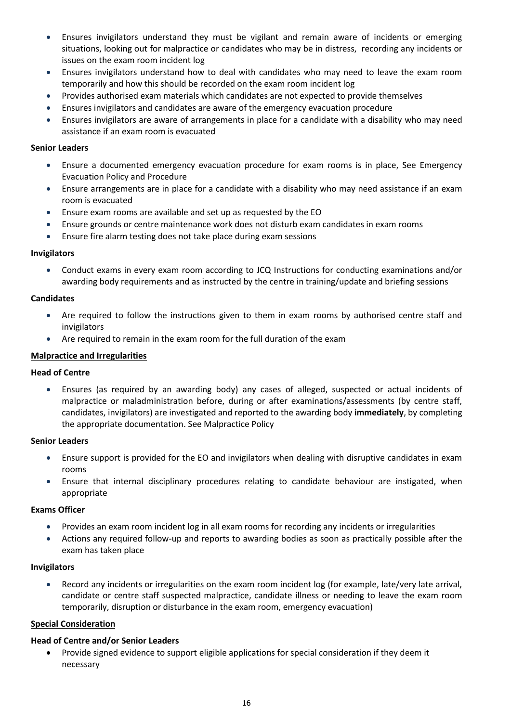- Ensures invigilators understand they must be vigilant and remain aware of incidents or emerging situations, looking out for malpractice or candidates who may be in distress, recording any incidents or issues on the exam room incident log
- Ensures invigilators understand how to deal with candidates who may need to leave the exam room temporarily and how this should be recorded on the exam room incident log
- Provides authorised exam materials which candidates are not expected to provide themselves
- Ensures invigilators and candidates are aware of the emergency evacuation procedure
- Ensures invigilators are aware of arrangements in place for a candidate with a disability who may need assistance if an exam room is evacuated

## **Senior Leaders**

- Ensure a documented emergency evacuation procedure for exam rooms is in place, See Emergency Evacuation Policy and Procedure
- Ensure arrangements are in place for a candidate with a disability who may need assistance if an exam room is evacuated
- Ensure exam rooms are available and set up as requested by the EO
- Ensure grounds or centre maintenance work does not disturb exam candidates in exam rooms
- Ensure fire alarm testing does not take place during exam sessions

#### **Invigilators**

 Conduct exams in every exam room according to JCQ Instructions for conducting examinations and/or awarding body requirements and as instructed by the centre in training/update and briefing sessions

#### **Candidates**

- Are required to follow the instructions given to them in exam rooms by authorised centre staff and invigilators
- Are required to remain in the exam room for the full duration of the exam

## **Malpractice and Irregularities**

## **Head of Centre**

 Ensures (as required by an awarding body) any cases of alleged, suspected or actual incidents of malpractice or maladministration before, during or after examinations/assessments (by centre staff, candidates, invigilators) are investigated and reported to the awarding body **immediately**, by completing the appropriate documentation. See Malpractice Policy

#### **Senior Leaders**

- Ensure support is provided for the EO and invigilators when dealing with disruptive candidates in exam rooms
- Ensure that internal disciplinary procedures relating to candidate behaviour are instigated, when appropriate

#### **Exams Officer**

- Provides an exam room incident log in all exam rooms for recording any incidents or irregularities
- Actions any required follow-up and reports to awarding bodies as soon as practically possible after the exam has taken place

#### **Invigilators**

 Record any incidents or irregularities on the exam room incident log (for example, late/very late arrival, candidate or centre staff suspected malpractice, candidate illness or needing to leave the exam room temporarily, disruption or disturbance in the exam room, emergency evacuation)

## **Special Consideration**

## **Head of Centre and/or Senior Leaders**

 Provide signed evidence to support eligible applications for special consideration if they deem it necessary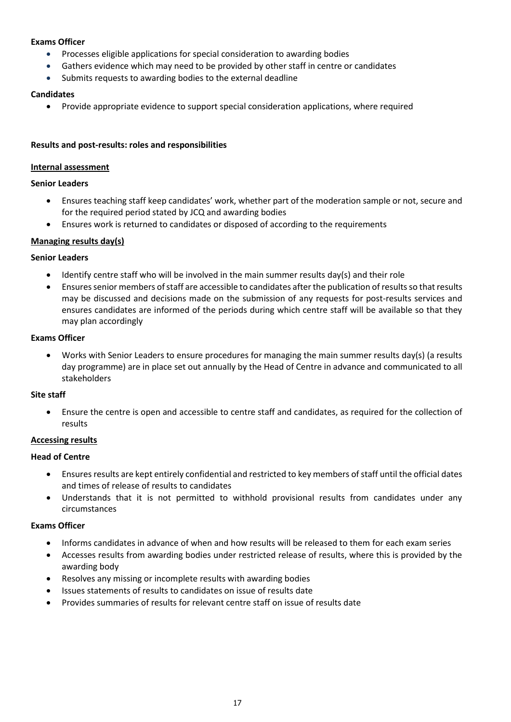- Processes eligible applications for special consideration to awarding bodies
- Gathers evidence which may need to be provided by other staff in centre or candidates
- Submits requests to awarding bodies to the external deadline

## **Candidates**

Provide appropriate evidence to support special consideration applications, where required

## **Results and post-results: roles and responsibilities**

## **Internal assessment**

# **Senior Leaders**

- Ensures teaching staff keep candidates' work, whether part of the moderation sample or not, secure and for the required period stated by JCQ and awarding bodies
- Ensures work is returned to candidates or disposed of according to the requirements

## **Managing results day(s)**

## **Senior Leaders**

- Identify centre staff who will be involved in the main summer results day(s) and their role
- Ensures senior members of staff are accessible to candidates after the publication of results so that results may be discussed and decisions made on the submission of any requests for post-results services and ensures candidates are informed of the periods during which centre staff will be available so that they may plan accordingly

## **Exams Officer**

 Works with Senior Leaders to ensure procedures for managing the main summer results day(s) (a results day programme) are in place set out annually by the Head of Centre in advance and communicated to all stakeholders

## **Site staff**

 Ensure the centre is open and accessible to centre staff and candidates, as required for the collection of results

## **Accessing results**

## **Head of Centre**

- Ensures results are kept entirely confidential and restricted to key members of staff until the official dates and times of release of results to candidates
- Understands that it is not permitted to withhold provisional results from candidates under any circumstances

## **Exams Officer**

- Informs candidates in advance of when and how results will be released to them for each exam series
- Accesses results from awarding bodies under restricted release of results, where this is provided by the awarding body
- Resolves any missing or incomplete results with awarding bodies
- Issues statements of results to candidates on issue of results date
- Provides summaries of results for relevant centre staff on issue of results date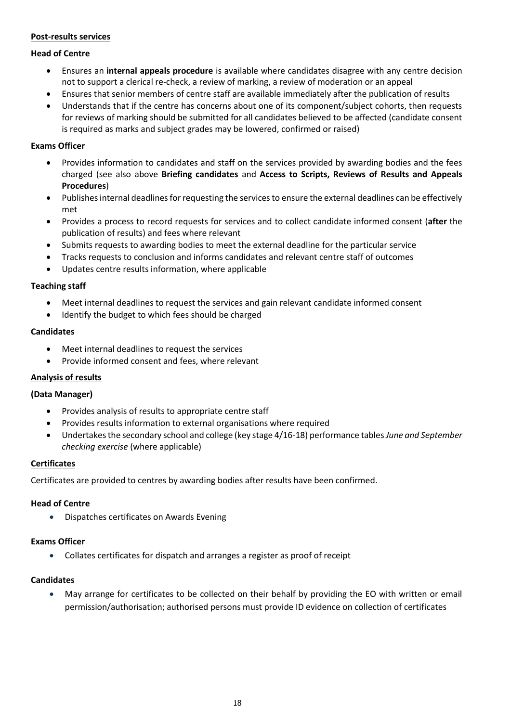## **Post-results services**

## **Head of Centre**

- Ensures an **internal appeals procedure** is available where candidates disagree with any centre decision not to support a clerical re-check, a review of marking, a review of moderation or an appeal
- Ensures that senior members of centre staff are available immediately after the publication of results
- Understands that if the centre has concerns about one of its component/subject cohorts, then requests for reviews of marking should be submitted for all candidates believed to be affected (candidate consent is required as marks and subject grades may be lowered, confirmed or raised)

## **Exams Officer**

- Provides information to candidates and staff on the services provided by awarding bodies and the fees charged (see also above **Briefing candidates** and **Access to Scripts, Reviews of Results and Appeals Procedures**)
- Publishes internal deadlines for requesting the services to ensure the external deadlines can be effectively met
- Provides a process to record requests for services and to collect candidate informed consent (**after** the publication of results) and fees where relevant
- Submits requests to awarding bodies to meet the external deadline for the particular service
- Tracks requests to conclusion and informs candidates and relevant centre staff of outcomes
- Updates centre results information, where applicable

## **Teaching staff**

- Meet internal deadlines to request the services and gain relevant candidate informed consent
- Identify the budget to which fees should be charged

## **Candidates**

- Meet internal deadlines to request the services
- Provide informed consent and fees, where relevant

## **Analysis of results**

## **(Data Manager)**

- Provides analysis of results to appropriate centre staff
- Provides results information to external organisations where required
- Undertakes the secondary school and college (key stage 4/16-18) performance tables*June and September checking exercise* (where applicable)

## **Certificates**

Certificates are provided to centres by awarding bodies after results have been confirmed.

## **Head of Centre**

Dispatches certificates on Awards Evening

## **Exams Officer**

Collates certificates for dispatch and arranges a register as proof of receipt

## **Candidates**

 May arrange for certificates to be collected on their behalf by providing the EO with written or email permission/authorisation; authorised persons must provide ID evidence on collection of certificates